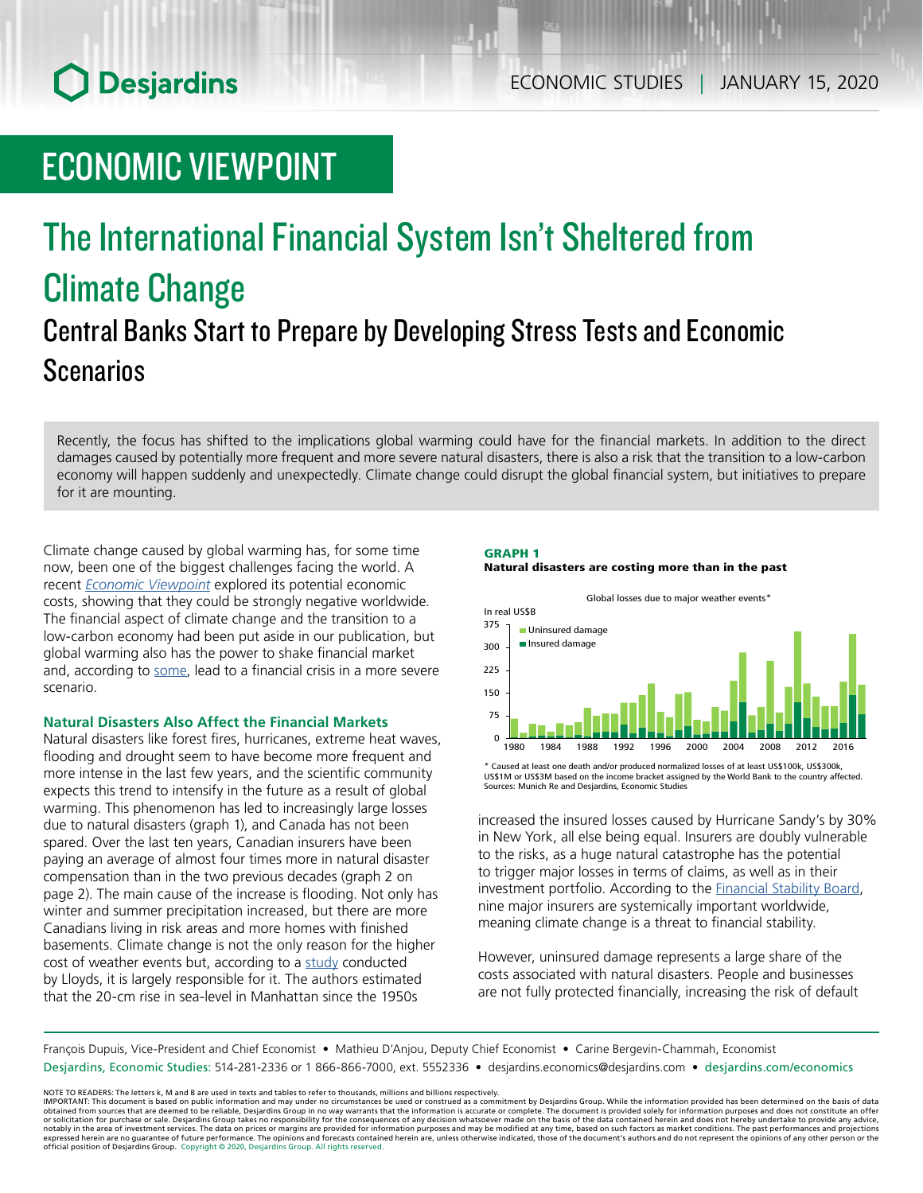# **O** Desjardins

# ECONOMIC VIEWPOINT

## The International Financial System Isn't Sheltered from Climate Change Central Banks Start to Prepare by Developing Stress Tests and Economic Scenarios

Recently, the focus has shifted to the implications global warming could have for the financial markets. In addition to the direct damages caused by potentially more frequent and more severe natural disasters, there is also a risk that the transition to a low-carbon economy will happen suddenly and unexpectedly. Climate change could disrupt the global financial system, but initiatives to prepare for it are mounting.

Climate change caused by global warming has, for some time now, been one of the biggest challenges facing the world. A recent *Economic [Viewpoint](https://www.desjardins.com/ressources/pdf/pv190821-e.pdf)* explored its potential economic costs, showing that they could be strongly negative worldwide. The financial aspect of climate change and the transition to a low-carbon economy had been put aside in our publication, but global warming also has the power to shake financial market and, according to [some](https://www.frbsf.org/economic-research/publications/economic-letter/2019/march/climate-change-and-federal-reserve/), lead to a financial crisis in a more severe scenario.

### **Natural Disasters Also Affect the Financial Markets**

Natural disasters like forest fires, hurricanes, extreme heat waves, flooding and drought seem to have become more frequent and more intense in the last few years, and the scientific community expects this trend to intensify in the future as a result of global warming. This phenomenon has led to increasingly large losses due to natural disasters (graph 1), and Canada has not been spared. Over the last ten years, Canadian insurers have been paying an average of almost four times more in natural disaster compensation than in the two previous decades (graph 2 on page 2). The main cause of the increase is flooding. Not only has winter and summer precipitation increased, but there are more Canadians living in risk areas and more homes with finished basements. Climate change is not the only reason for the higher cost of weather events but, according to a [study](https://www.lloyds.com/news-and-risk-insight/risk-reports/library/natural-environment/catastrophe-modelling-and-climate-change) conducted by Lloyds, it is largely responsible for it. The authors estimated that the 20-cm rise in sea-level in Manhattan since the 1950s

#### GRAPH 1 Natural disasters are costing more than in the past



US\$1M or US\$3M based on the income bracket assigned by the World Bank to the country affected. Sources: Munich Re and Desjardins, Economic Studies

increased the insured losses caused by Hurricane Sandy's by 30% in New York, all else being equal. Insurers are doubly vulnerable to the risks, as a huge natural catastrophe has the potential to trigger major losses in terms of claims, as well as in their investment portfolio. According to the [Financial](https://www.fsb.org/2016/11/2016-list-of-global-systemically-important-insurers-g-siis/) Stability Board, nine major insurers are systemically important worldwide, meaning climate change is a threat to financial stability.

However, uninsured damage represents a large share of the costs associated with natural disasters. People and businesses are not fully protected financially, increasing the risk of default

François Dupuis, Vice-President and Chief Economist • Mathieu D'Anjou, Deputy Chief Economist • Carine Bergevin-Chammah, Economist Desjardins, Economic Studies: 514-281-2336 or 1 866-866-7000, ext. 5552336 • desjardins.economics@desjardins.com • [desjardins.com/economics](http://desjardins.com/economics)

NOTE TO READERS: The letters k, M and B are used in texts and tables to refer to thousands, millions and billions respectively.<br>IMPORTANT: This document is based on public information and may under no circumstances be used obtained from sources that are deemed to be reliable, Desjardins Group in no way warrants that the information is accurate or complete. The document is provided solely for information purposes and does not constitute an of expressed herein are no guarantee of future performance. The opinions and forecasts contained herein are, unless otherwise indicated, those of the document's authors and do not represent the opinions of any other person or official position of Desjardins Group. Copyright © 2020, Desjardins Group. All rights reserved.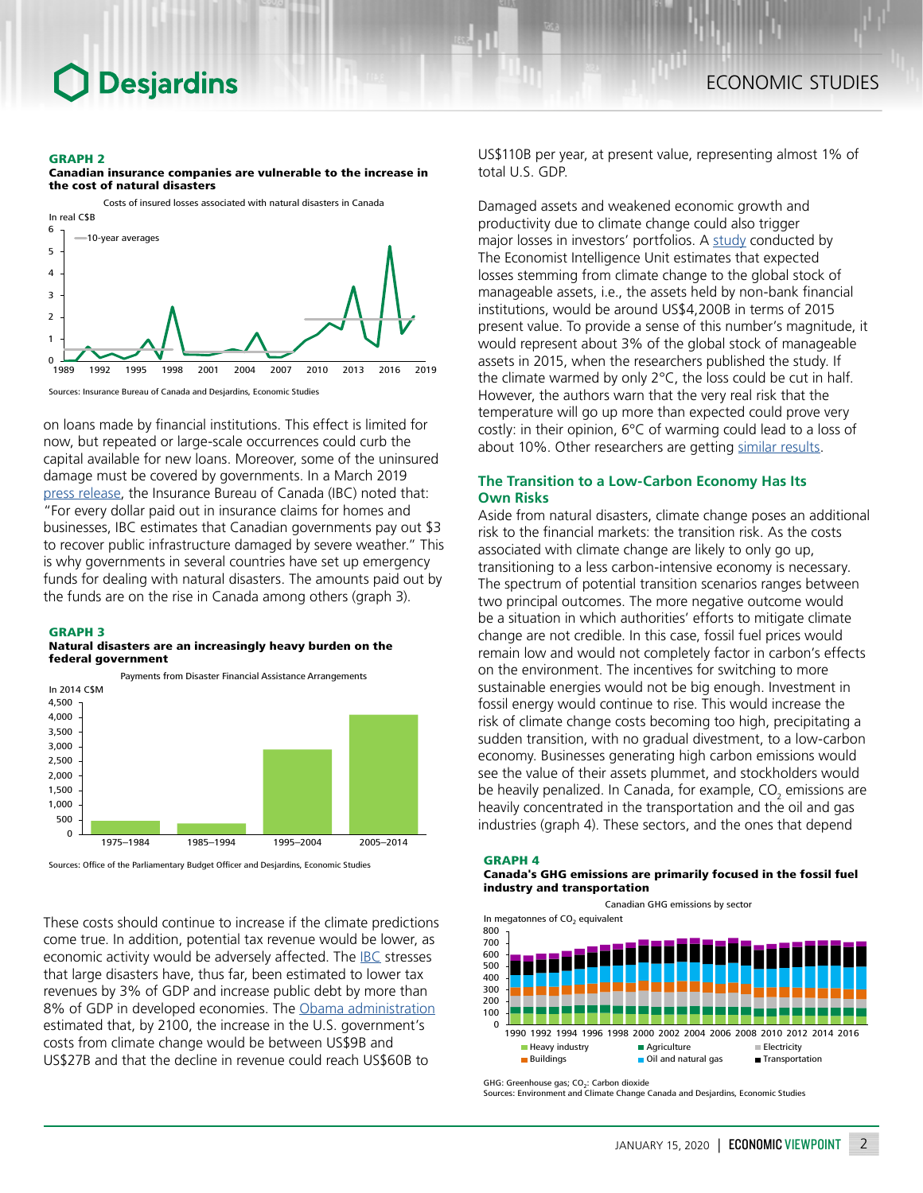#### GRAPH 2



Canadian insurance companies are vulnerable to the increase in the cost of natural disasters



on loans made by financial institutions. This effect is limited for now, but repeated or large-scale occurrences could curb the capital available for new loans. Moreover, some of the uninsured damage must be covered by governments. In a March 2019 press [release](http://www.ibc.ca/ns/resources/media-centre/media-releases/winter-storm-causes-over-39-million-in-insured-damage-in-eastern-canada), the Insurance Bureau of Canada (IBC) noted that: "For every dollar paid out in insurance claims for homes and businesses, IBC estimates that Canadian governments pay out \$3 to recover public infrastructure damaged by severe weather." This is why governments in several countries have set up emergency funds for dealing with natural disasters. The amounts paid out by the funds are on the rise in Canada among others (graph 3).

#### GRAPH 3

#### Natural disasters are an increasingly heavy burden on the federal government



Sources: Office of the Parliamentary Budget Officer and Desjardins, Economic Studies

These costs should continue to increase if the climate predictions come true. In addition, potential tax revenue would be lower, as economic activity would be adversely affected. The **[IBC](http://assets.ibc.ca/Documents/Natural%20Disasters/Economic_Impact_Disasters.pdf)** stresses that large disasters have, thus far, been estimated to lower tax revenues by 3% of GDP and increase public debt by more than 8% of GDP in developed economies. The Obama [administration](https://obamawhitehouse.archives.gov/sites/default/files/omb/reports/omb_climate_change_fiscal_risk_report.pdf) estimated that, by 2100, the increase in the U.S. government's costs from climate change would be between US\$9B and US\$27B and that the decline in revenue could reach US\$60B to

US\$110B per year, at present value, representing almost 1% of total U.S. GDP.

Damaged assets and weakened economic growth and productivity due to climate change could also trigger major losses in investors' portfolios. A [study](https://eiuperspectives.economist.com/sites/default/files/The%20cost%20of%20inaction.pdf) conducted by The Economist Intelligence Unit estimates that expected losses stemming from climate change to the global stock of manageable assets, i.e., the assets held by non-bank financial institutions, would be around US\$4,200B in terms of 2015 present value. To provide a sense of this number's magnitude, it would represent about 3% of the global stock of manageable assets in 2015, when the researchers published the study. If the climate warmed by only 2°C, the loss could be cut in half. However, the authors warn that the very real risk that the temperature will go up more than expected could prove very costly: in their opinion, 6°C of warming could lead to a loss of about 10%. Other researchers are getting similar [results](http://eprints.lse.ac.uk/66226/).

### **The Transition to a Low-Carbon Economy Has Its Own Risks**

Aside from natural disasters, climate change poses an additional risk to the financial markets: the transition risk. As the costs associated with climate change are likely to only go up, transitioning to a less carbon-intensive economy is necessary. The spectrum of potential transition scenarios ranges between two principal outcomes. The more negative outcome would be a situation in which authorities' efforts to mitigate climate change are not credible. In this case, fossil fuel prices would remain low and would not completely factor in carbon's effects on the environment. The incentives for switching to more sustainable energies would not be big enough. Investment in fossil energy would continue to rise. This would increase the risk of climate change costs becoming too high, precipitating a sudden transition, with no gradual divestment, to a low-carbon economy. Businesses generating high carbon emissions would see the value of their assets plummet, and stockholders would be heavily penalized. In Canada, for example, CO<sub>2</sub> emissions are heavily concentrated in the transportation and the oil and gas industries (graph 4). These sectors, and the ones that depend

#### GRAPH 4

#### Canada's GHG emissions are primarily focused in the fossil fuel industry and transportation

Canadian GHG emissions by sector In megatonnes of  $CO<sub>2</sub>$  equivalent  $\Omega$ 100 200 300 400 500 600 700 800 1990 1992 1994 1996 1998 2000 2002 2004 2006 2008 2010 2012 2014 2016  $\blacksquare$  Heavy industry  $\blacksquare$  Agriculture  $\blacksquare$  Electricity ■ Buildings Transportation

GHG: Greenhouse gas; CO<sub>2</sub>: Carbon dioxide<br>Sources: Environment and Climate Change Canada and Desjardins, Economic Studies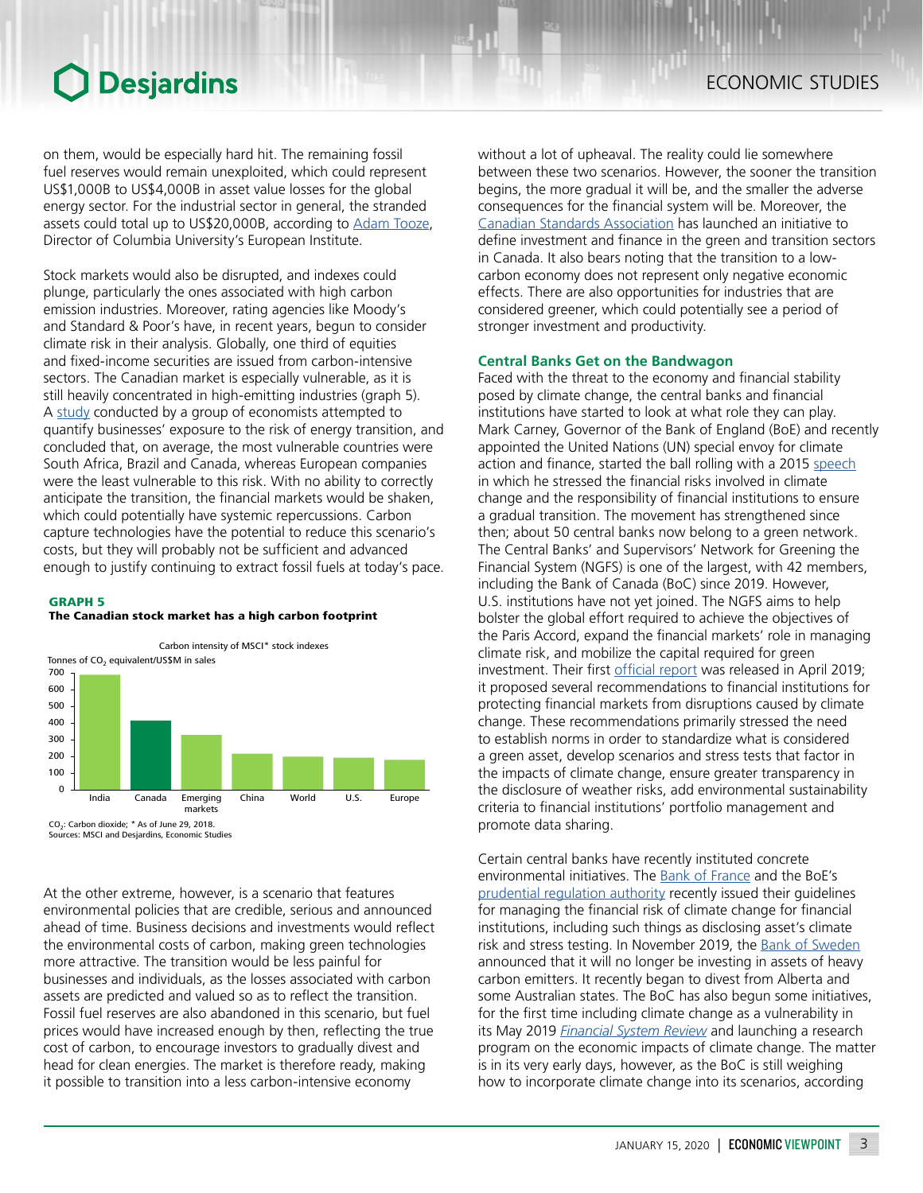## **O** Desjardins

on them, would be especially hard hit. The remaining fossil fuel reserves would remain unexploited, which could represent US\$1,000B to US\$4,000B in asset value losses for the global energy sector. For the industrial sector in general, the stranded assets could total up to US\$20,000B, according to [Adam](https://foreignpolicy.com/2019/07/20/why-central-banks-need-to-step-up-on-global-warming/) Tooze, Director of Columbia University's European Institute.

Stock markets would also be disrupted, and indexes could plunge, particularly the ones associated with high carbon emission industries. Moreover, rating agencies like Moody's and Standard & Poor's have, in recent years, begun to consider climate risk in their analysis. Globally, one third of equities and fixed-income securities are issued from carbon-intensive sectors. The Canadian market is especially vulnerable, as it is still heavily concentrated in high-emitting industries (graph 5). A [study](https://www.frbsf.org/economic-research/events/2019/november/economics-of-climate-change/files/Paper-6-2019-11-8-Riordan-1PM-2nd-paper.pdf) conducted by a group of economists attempted to quantify businesses' exposure to the risk of energy transition, and concluded that, on average, the most vulnerable countries were South Africa, Brazil and Canada, whereas European companies were the least vulnerable to this risk. With no ability to correctly anticipate the transition, the financial markets would be shaken, which could potentially have systemic repercussions. Carbon capture technologies have the potential to reduce this scenario's costs, but they will probably not be sufficient and advanced enough to justify continuing to extract fossil fuels at today's pace.

#### GRAPH 5





Sources: MSCI and Desjardins, Economic Studies

At the other extreme, however, is a scenario that features environmental policies that are credible, serious and announced ahead of time. Business decisions and investments would reflect the environmental costs of carbon, making green technologies more attractive. The transition would be less painful for businesses and individuals, as the losses associated with carbon assets are predicted and valued so as to reflect the transition. Fossil fuel reserves are also abandoned in this scenario, but fuel prices would have increased enough by then, reflecting the true cost of carbon, to encourage investors to gradually divest and head for clean energies. The market is therefore ready, making it possible to transition into a less carbon-intensive economy

without a lot of upheaval. The reality could lie somewhere between these two scenarios. However, the sooner the transition begins, the more gradual it will be, and the smaller the adverse consequences for the financial system will be. Moreover, the Canadian Standards [Association](https://www.scc.ca/en/standards/notices-of-intent/csa/sustainable-finance-defining-green-taxonomy-for-canada) has launched an initiative to define investment and finance in the green and transition sectors in Canada. It also bears noting that the transition to a lowcarbon economy does not represent only negative economic effects. There are also opportunities for industries that are considered greener, which could potentially see a period of stronger investment and productivity.

#### **Central Banks Get on the Bandwagon**

Faced with the threat to the economy and financial stability posed by climate change, the central banks and financial institutions have started to look at what role they can play. Mark Carney, Governor of the Bank of England (BoE) and recently appointed the United Nations (UN) special envoy for climate action and finance, started the ball rolling with a 2015 [speech](https://www.bankofengland.co.uk/-/media/boe/files/speech/2015/breaking-the-tragedy-of-the-horizon-climate-change-and-financial-stability.pdf?la=en&hash=7C67E785651862457D99511147C7424FF5EA0C1A) in which he stressed the financial risks involved in climate change and the responsibility of financial institutions to ensure a gradual transition. The movement has strengthened since then; about 50 central banks now belong to a green network. The Central Banks' and Supervisors' Network for Greening the Financial System (NGFS) is one of the largest, with 42 members, including the Bank of Canada (BoC) since 2019. However, U.S. institutions have not yet joined. The NGFS aims to help bolster the global effort required to achieve the objectives of the Paris Accord, expand the financial markets' role in managing climate risk, and mobilize the capital required for green investment. Their first [official](https://www.ngfs.net/sites/default/files/medias/documents/ngfs_first_comprehensive_report_-_17042019_0.pdf) report was released in April 2019; it proposed several recommendations to financial institutions for protecting financial markets from disruptions caused by climate change. These recommendations primarily stressed the need to establish norms in order to standardize what is considered a green asset, develop scenarios and stress tests that factor in the impacts of climate change, ensure greater transparency in the disclosure of weather risks, add environmental sustainability criteria to financial institutions' portfolio management and promote data sharing.

Certain central banks have recently instituted concrete environmental initiatives. The **Bank of [France](https://www.banque-france.fr/en/node/240520)** and the BoE's [prudential regulation authority](https://www.bankofengland.co.uk/-/media/boe/files/prudential-regulation/supervisory-statement/2019/ss319.pdf?la=en&hash=7BA9824BAC5FB313F42C00889D4E3A6104881C44) recently issued their guidelines for managing the financial risk of climate change for financial institutions, including such things as disclosing asset's climate risk and stress testing. In November 2019, the Bank of [Sweden](https://www.riksbank.se/en-gb/press-and-published/speeches-and-presentations/2019/floden-riksbank-selling-bonds-for-climate-reasons/) announced that it will no longer be investing in assets of heavy carbon emitters. It recently began to divest from Alberta and some Australian states. The BoC has also begun some initiatives, for the first time including climate change as a vulnerability in its May 2019 *[Financial](https://www.bankofcanada.ca/2019/05/financial-system-review-2019/) System Review* and launching a research program on the economic impacts of climate change. The matter is in its very early days, however, as the BoC is still weighing how to incorporate climate change into its scenarios, according